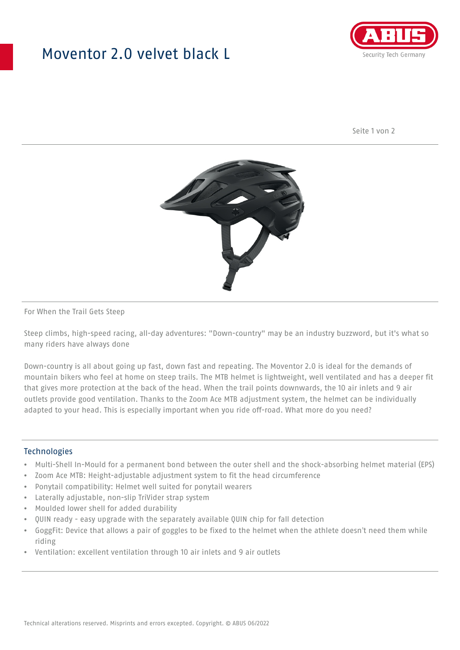## Moventor 2.0 velvet black L



Seite 1 von 2



#### For When the Trail Gets Steep

Steep climbs, high-speed racing, all-day adventures: "Down-country" may be an industry buzzword, but it's what so many riders have always done

Down-country is all about going up fast, down fast and repeating. The Moventor 2.0 is ideal for the demands of mountain bikers who feel at home on steep trails. The MTB helmet is lightweight, well ventilated and has a deeper fit that gives more protection at the back of the head. When the trail points downwards, the 10 air inlets and 9 air outlets provide good ventilation. Thanks to the Zoom Ace MTB adjustment system, the helmet can be individually adapted to your head. This is especially important when you ride off-road. What more do you need?

#### **Technologies**

- Multi-Shell In-Mould for a permanent bond between the outer shell and the shock-absorbing helmet material (EPS)
- Zoom Ace MTB: Height-adjustable adjustment system to fit the head circumference
- Ponytail compatibility: Helmet well suited for ponytail wearers
- Laterally adjustable, non-slip TriVider strap system
- Moulded lower shell for added durability
- QUIN ready easy upgrade with the separately available QUIN chip for fall detection
- GoggFit: Device that allows a pair of goggles to be fixed to the helmet when the athlete doesn't need them while riding
- Ventilation: excellent ventilation through 10 air inlets and 9 air outlets